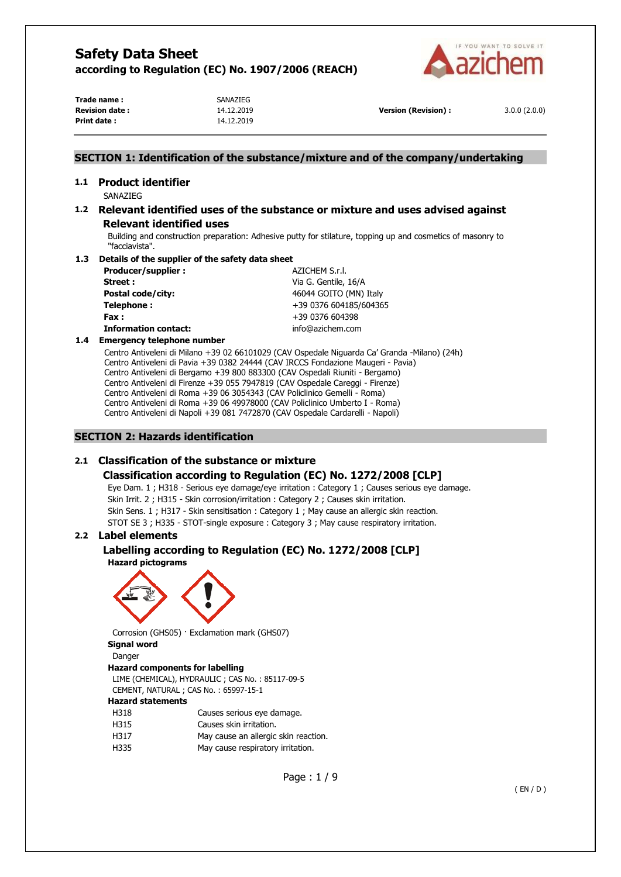

**Trade name :** SANAZIEG **Revision date :** 14.12.2019 **Version (Revision) :** 3.0.0 (2.0.0) **Print date :** 14.12.2019

## **SECTION 1: Identification of the substance/mixture and of the company/undertaking**

# **1.1 Product identifier**

SANAZIEG

# **1.2 Relevant identified uses of the substance or mixture and uses advised against Relevant identified uses**

Building and construction preparation: Adhesive putty for stilature, topping up and cosmetics of masonry to "facciavista".

## **1.3 Details of the supplier of the safety data sheet**

| Producer/supplier:          | AZICHEM S.r.I.         |
|-----------------------------|------------------------|
| Street:                     | Via G. Gentile, 16/A   |
| Postal code/city:           | 46044 GOITO (MN) Italy |
| Telephone:                  | +39 0376 604185/604365 |
| Fax :                       | +39 0376 604398        |
| <b>Information contact:</b> | info@azichem.com       |

#### **1.4 Emergency telephone number**

Centro Antiveleni di Milano +39 02 66101029 (CAV Ospedale Niguarda Ca' Granda -Milano) (24h) Centro Antiveleni di Pavia +39 0382 24444 (CAV IRCCS Fondazione Maugeri - Pavia) Centro Antiveleni di Bergamo +39 800 883300 (CAV Ospedali Riuniti - Bergamo) Centro Antiveleni di Firenze +39 055 7947819 (CAV Ospedale Careggi - Firenze) Centro Antiveleni di Roma +39 06 3054343 (CAV Policlinico Gemelli - Roma) Centro Antiveleni di Roma +39 06 49978000 (CAV Policlinico Umberto I - Roma) Centro Antiveleni di Napoli +39 081 7472870 (CAV Ospedale Cardarelli - Napoli)

## **SECTION 2: Hazards identification**

# **2.1 Classification of the substance or mixture**

## **Classification according to Regulation (EC) No. 1272/2008 [CLP]**

Eye Dam. 1 ; H318 - Serious eye damage/eye irritation : Category 1 ; Causes serious eye damage. Skin Irrit. 2 ; H315 - Skin corrosion/irritation : Category 2 ; Causes skin irritation. Skin Sens. 1 ; H317 - Skin sensitisation : Category 1 ; May cause an allergic skin reaction. STOT SE 3 ; H335 - STOT-single exposure : Category 3 ; May cause respiratory irritation.

## **2.2 Label elements**

# **Labelling according to Regulation (EC) No. 1272/2008 [CLP] Hazard pictograms**



Corrosion (GHS05) · Exclamation mark (GHS07)

# **Signal word**

Danger

# **Hazard components for labelling**

LIME (CHEMICAL), HYDRAULIC ; CAS No. : 85117-09-5 CEMENT, NATURAL ; CAS No. : 65997-15-1

### **Hazard statements**

| H318 | Causes serious eye damage.           |
|------|--------------------------------------|
| H315 | Causes skin irritation.              |
| H317 | May cause an allergic skin reaction. |
| H335 | May cause respiratory irritation.    |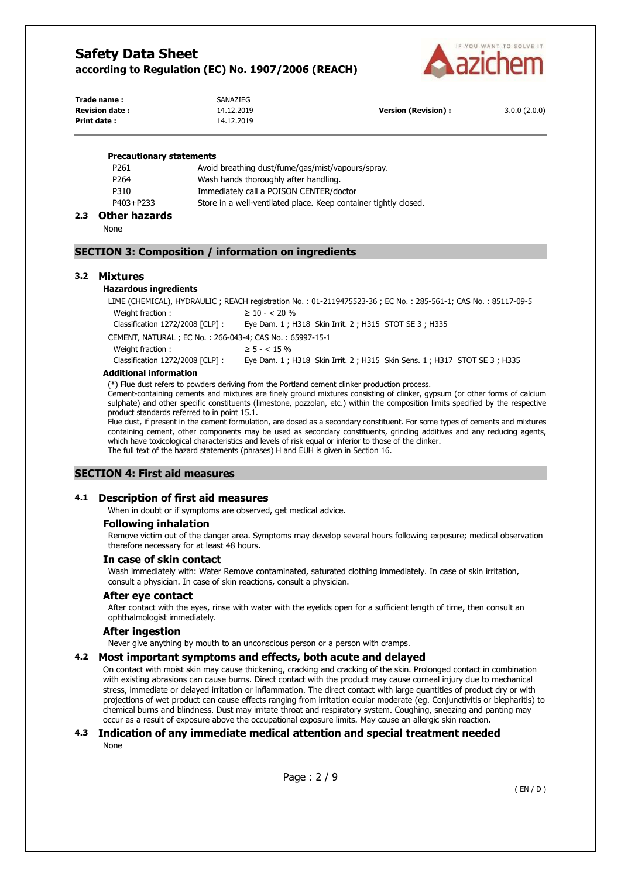

| Trade name:           | SANAZIEG   |                            |              |
|-----------------------|------------|----------------------------|--------------|
| <b>Revision date:</b> | 14.12.2019 | <b>Version (Revision):</b> | 3.0.0(2.0.0) |
| Print date :          | 14.12.2019 |                            |              |

#### **Precautionary statements**

| P <sub>261</sub> | Avoid breathing dust/fume/gas/mist/vapours/spray.                |
|------------------|------------------------------------------------------------------|
| P <sub>264</sub> | Wash hands thoroughly after handling.                            |
| P310             | Immediately call a POISON CENTER/doctor                          |
| P403+P233        | Store in a well-ventilated place. Keep container tightly closed. |
|                  |                                                                  |

# **2.3 Other hazards**

None

## **SECTION 3: Composition / information on ingredients**

## **3.2 Mixtures**

#### **Hazardous ingredients**

LIME (CHEMICAL), HYDRAULIC ; REACH registration No. : 01-2119475523-36 ; EC No. : 285-561-1; CAS No. : 85117-09-5 Weight fraction :  $\geq 10 - < 20 \%$ 

Classification 1272/2008 [CLP] : Eye Dam. 1 ; H318 Skin Irrit. 2 ; H315 STOT SE 3 ; H335

CEMENT, NATURAL ; EC No. : 266-043-4; CAS No. : 65997-15-1

Weight fraction :  $\geq 5 - < 15\%$ 

Classification 1272/2008 [CLP] : Eye Dam. 1 ; H318 Skin Irrit. 2 ; H315 Skin Sens. 1 ; H317 STOT SE 3 ; H335

#### **Additional information**

(\*) Flue dust refers to powders deriving from the Portland cement clinker production process.

Cement-containing cements and mixtures are finely ground mixtures consisting of clinker, gypsum (or other forms of calcium sulphate) and other specific constituents (limestone, pozzolan, etc.) within the composition limits specified by the respective product standards referred to in point 15.1.

Flue dust, if present in the cement formulation, are dosed as a secondary constituent. For some types of cements and mixtures containing cement, other components may be used as secondary constituents, grinding additives and any reducing agents, which have toxicological characteristics and levels of risk equal or inferior to those of the clinker. The full text of the hazard statements (phrases) H and EUH is given in Section 16.

## **SECTION 4: First aid measures**

## **4.1 Description of first aid measures**

When in doubt or if symptoms are observed, get medical advice.

## **Following inhalation**

Remove victim out of the danger area. Symptoms may develop several hours following exposure; medical observation therefore necessary for at least 48 hours.

### **In case of skin contact**

Wash immediately with: Water Remove contaminated, saturated clothing immediately. In case of skin irritation, consult a physician. In case of skin reactions, consult a physician.

### **After eye contact**

After contact with the eyes, rinse with water with the eyelids open for a sufficient length of time, then consult an ophthalmologist immediately.

### **After ingestion**

Never give anything by mouth to an unconscious person or a person with cramps.

### **4.2 Most important symptoms and effects, both acute and delayed**

On contact with moist skin may cause thickening, cracking and cracking of the skin. Prolonged contact in combination with existing abrasions can cause burns. Direct contact with the product may cause corneal injury due to mechanical stress, immediate or delayed irritation or inflammation. The direct contact with large quantities of product dry or with projections of wet product can cause effects ranging from irritation ocular moderate (eg. Conjunctivitis or blepharitis) to chemical burns and blindness. Dust may irritate throat and respiratory system. Coughing, sneezing and panting may occur as a result of exposure above the occupational exposure limits. May cause an allergic skin reaction.

## **4.3 Indication of any immediate medical attention and special treatment needed**  None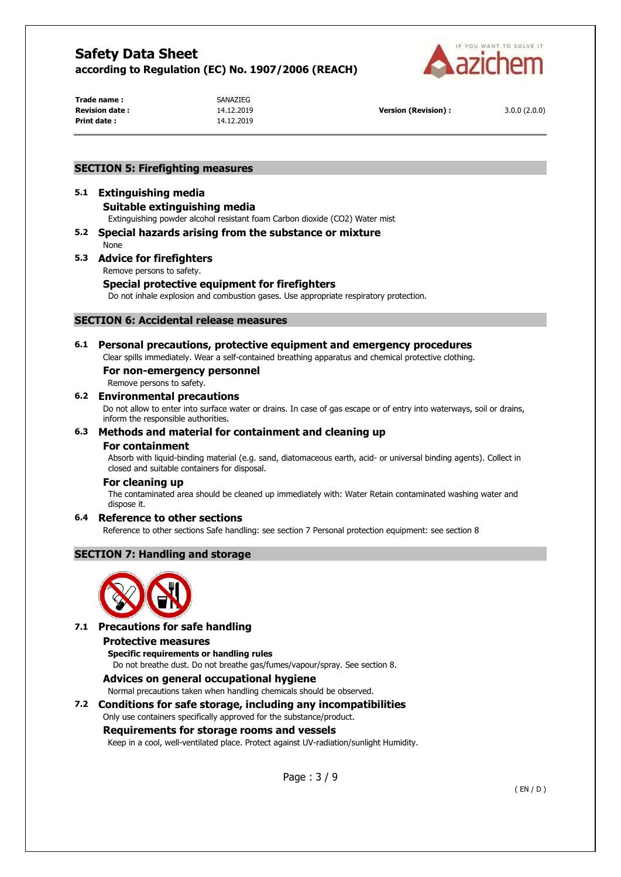

Trade name : **SANAZIEG Print date :** 14.12.2019

**Revision date :** 14.12.2019 **Version (Revision) :** 3.0.0 (2.0.0)

# **SECTION 5: Firefighting measures**

# **5.1 Extinguishing media Suitable extinguishing media**

- Extinguishing powder alcohol resistant foam Carbon dioxide (CO2) Water mist **5.2 Special hazards arising from the substance or mixture**
- None

# **5.3 Advice for firefighters**

Remove persons to safety.

# **Special protective equipment for firefighters**

Do not inhale explosion and combustion gases. Use appropriate respiratory protection.

## **SECTION 6: Accidental release measures**

## **6.1 Personal precautions, protective equipment and emergency procedures**

Clear spills immediately. Wear a self-contained breathing apparatus and chemical protective clothing.

## **For non-emergency personnel**

Remove persons to safety.

## **6.2 Environmental precautions**

Do not allow to enter into surface water or drains. In case of gas escape or of entry into waterways, soil or drains, inform the responsible authorities.

# **6.3 Methods and material for containment and cleaning up**

### **For containment**

Absorb with liquid-binding material (e.g. sand, diatomaceous earth, acid- or universal binding agents). Collect in closed and suitable containers for disposal.

### **For cleaning up**

The contaminated area should be cleaned up immediately with: Water Retain contaminated washing water and dispose it.

# **6.4 Reference to other sections**

Reference to other sections Safe handling: see section 7 Personal protection equipment: see section 8

# **SECTION 7: Handling and storage**



# **7.1 Precautions for safe handling**

### **Protective measures**

**Specific requirements or handling rules**  Do not breathe dust. Do not breathe gas/fumes/vapour/spray. See section 8.

## **Advices on general occupational hygiene**

Normal precautions taken when handling chemicals should be observed.

# **7.2 Conditions for safe storage, including any incompatibilities**

Only use containers specifically approved for the substance/product.

## **Requirements for storage rooms and vessels**

Keep in a cool, well-ventilated place. Protect against UV-radiation/sunlight Humidity.

Page : 3 / 9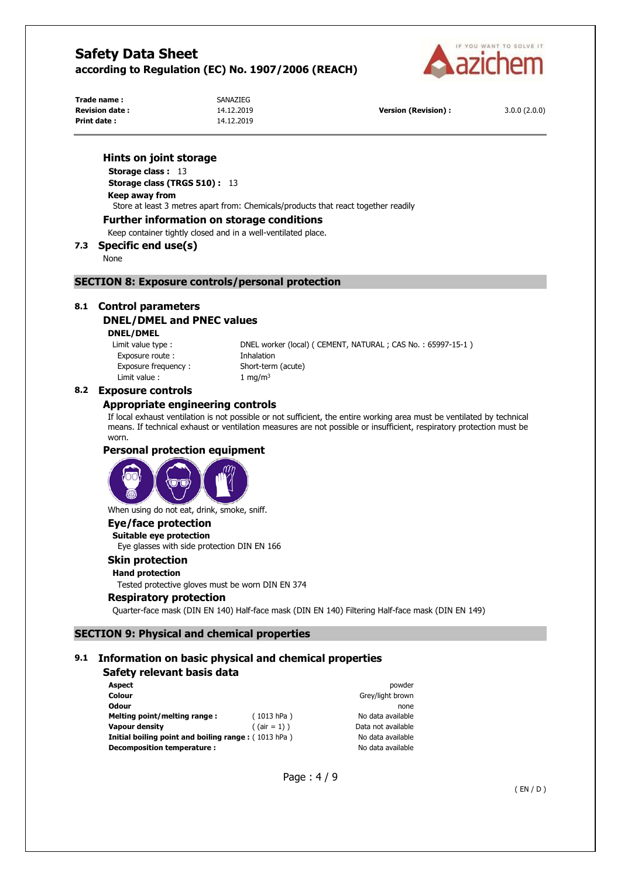

**Trade name :** SANAZIEG **Print date :** 14.12.2019

**Revision date :** 14.12.2019 **Version (Revision) :** 3.0.0 (2.0.0)

## **Hints on joint storage**

**Storage class :** 13 **Storage class (TRGS 510) :** 13 **Keep away from** 

Store at least 3 metres apart from: Chemicals/products that react together readily

### **Further information on storage conditions**

Keep container tightly closed and in a well-ventilated place.

# **7.3 Specific end use(s)**

None

## **SECTION 8: Exposure controls/personal protection**

# **8.1 Control parameters DNEL/DMEL and PNEC values**

#### **DNEL/DMEL**

Exposure route : Thhalation Exposure frequency : Short-term (acute) Limit value :  $1 \text{ mg/m}^3$ 

Limit value type : DNEL worker (local) ( CEMENT, NATURAL ; CAS No. : 65997-15-1 )

## **8.2 Exposure controls**

## **Appropriate engineering controls**

If local exhaust ventilation is not possible or not sufficient, the entire working area must be ventilated by technical means. If technical exhaust or ventilation measures are not possible or insufficient, respiratory protection must be worn.

# **Personal protection equipment**



When using do not eat, drink, smoke, sniff.

# **Eye/face protection**

**Suitable eye protection**  Eye glasses with side protection DIN EN 166

# **Skin protection**

**Hand protection**  Tested protective gloves must be worn DIN EN 374

## **Respiratory protection**

Quarter-face mask (DIN EN 140) Half-face mask (DIN EN 140) Filtering Half-face mask (DIN EN 149)

# **SECTION 9: Physical and chemical properties**

## **9.1 Information on basic physical and chemical properties**

# **Safety relevant basis data**

| <b>Aspect</b>                                                |                 | powder             |
|--------------------------------------------------------------|-----------------|--------------------|
| Colour                                                       |                 | Grey/light brown   |
| <b>Odour</b>                                                 |                 | none               |
| Melting point/melting range:                                 | (1013 hPa)      | No data available  |
| Vapour density                                               | $($ (air = 1) ) | Data not available |
| <b>Initial boiling point and boiling range:</b> $(1013 hPa)$ |                 | No data available  |
| Decomposition temperature :                                  |                 | No data available  |

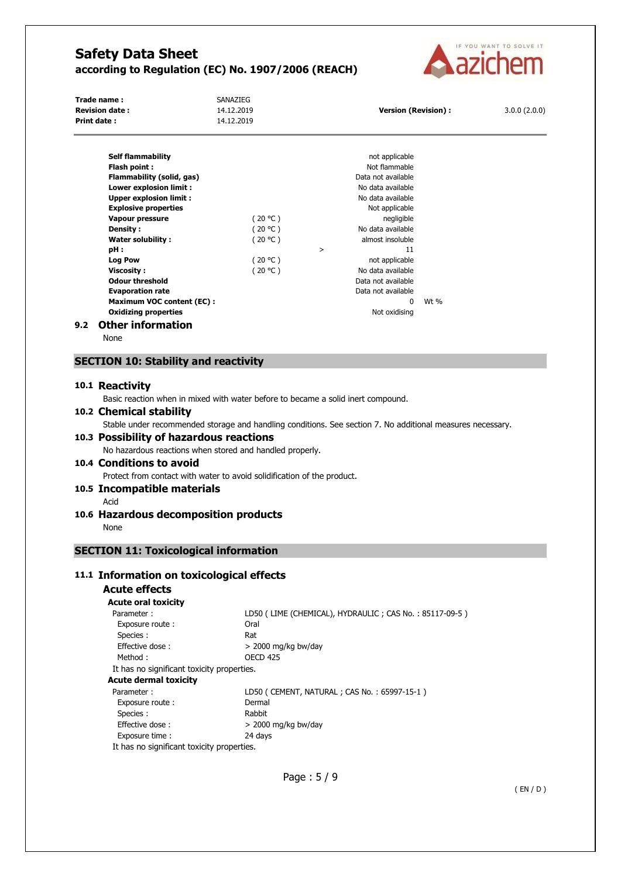

| Trade name :          | SANAZIEG   |                            |              |
|-----------------------|------------|----------------------------|--------------|
| <b>Revision date:</b> | 14.12.2019 | <b>Version (Revision):</b> | 3.0.0(2.0.0) |
| Print date :          | 14.12.2019 |                            |              |

|     | <b>Self flammability</b>         |         |   | not applicable     |        |
|-----|----------------------------------|---------|---|--------------------|--------|
|     | Flash point:                     |         |   | Not flammable      |        |
|     | Flammability (solid, gas)        |         |   | Data not available |        |
|     | Lower explosion limit:           |         |   | No data available  |        |
|     | <b>Upper explosion limit:</b>    |         |   | No data available  |        |
|     | <b>Explosive properties</b>      |         |   | Not applicable     |        |
|     | Vapour pressure                  | (20 °C) |   | negligible         |        |
|     | Density:                         | (20 °C) |   | No data available  |        |
|     | <b>Water solubility:</b>         | (20 °C) |   | almost insoluble   |        |
|     | pH :                             |         | > | 11                 |        |
|     | Log Pow                          | (20 °C) |   | not applicable     |        |
|     | <b>Viscosity :</b>               | (20 °C) |   | No data available  |        |
|     | <b>Odour threshold</b>           |         |   | Data not available |        |
|     | <b>Evaporation rate</b>          |         |   | Data not available |        |
|     | <b>Maximum VOC content (EC):</b> |         |   | 0                  | Wt $%$ |
|     | <b>Oxidizing properties</b>      |         |   | Not oxidising      |        |
| 9.2 | <b>Other information</b>         |         |   |                    |        |

None

# **SECTION 10: Stability and reactivity**

### **10.1 Reactivity**

Basic reaction when in mixed with water before to became a solid inert compound.

### **10.2 Chemical stability**

Stable under recommended storage and handling conditions. See section 7. No additional measures necessary.

## **10.3 Possibility of hazardous reactions**  No hazardous reactions when stored and handled properly.

# **10.4 Conditions to avoid**

Protect from contact with water to avoid solidification of the product.

## **10.5 Incompatible materials**

Acid

# **10.6 Hazardous decomposition products**

None

# **SECTION 11: Toxicological information**

# **11.1 Information on toxicological effects**

# **Acute effects**

# **Acute oral toxicity**

| Parameter:                                 | LD50 (LIME (CHEMICAL), HYDRAULIC; CAS No.: 85117-09-5) |
|--------------------------------------------|--------------------------------------------------------|
| Exposure route:                            | Oral                                                   |
| Species:                                   | Rat                                                    |
| Effective dose:                            | $>$ 2000 mg/kg bw/day                                  |
| Method:                                    | <b>OECD 425</b>                                        |
| It has no significant toxicity properties. |                                                        |
| Acute dermal toxicity                      |                                                        |
| Parameter:                                 | LD50 ( CEMENT, NATURAL ; CAS No. : 65997-15-1 )        |
| Exposure route:                            | Dermal                                                 |
| Species:                                   | Rabbit                                                 |
| Effective dose:                            | $>$ 2000 mg/kg bw/day                                  |
| Exposure time:                             | 24 days                                                |
| It has no significant toxicity properties. |                                                        |

Page : 5 / 9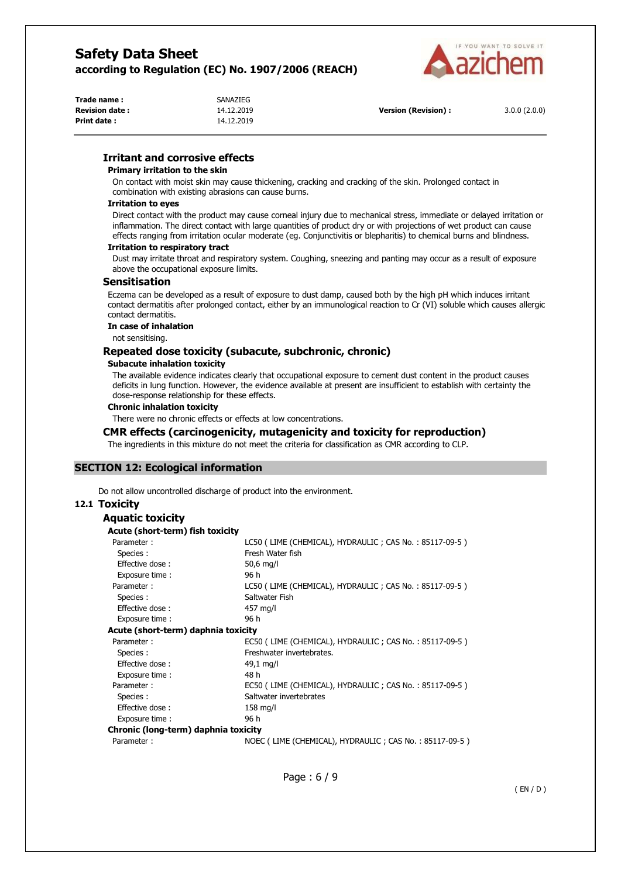

| Trade name:            | SANAZIEG   |                      |              |
|------------------------|------------|----------------------|--------------|
| <b>Revision date :</b> | 14.12.2019 | Version (Revision) : | 3.0.0(2.0.0) |
| Print date :           | 14.12.2019 |                      |              |

# **Irritant and corrosive effects**

#### **Primary irritation to the skin**

On contact with moist skin may cause thickening, cracking and cracking of the skin. Prolonged contact in combination with existing abrasions can cause burns.

#### **Irritation to eyes**

Direct contact with the product may cause corneal injury due to mechanical stress, immediate or delayed irritation or inflammation. The direct contact with large quantities of product dry or with projections of wet product can cause effects ranging from irritation ocular moderate (eg. Conjunctivitis or blepharitis) to chemical burns and blindness.

#### **Irritation to respiratory tract**

Dust may irritate throat and respiratory system. Coughing, sneezing and panting may occur as a result of exposure above the occupational exposure limits.

### **Sensitisation**

Eczema can be developed as a result of exposure to dust damp, caused both by the high pH which induces irritant contact dermatitis after prolonged contact, either by an immunological reaction to Cr (VI) soluble which causes allergic contact dermatitis.

#### **In case of inhalation**

not sensitising.

## **Repeated dose toxicity (subacute, subchronic, chronic)**

#### **Subacute inhalation toxicity**

The available evidence indicates clearly that occupational exposure to cement dust content in the product causes deficits in lung function. However, the evidence available at present are insufficient to establish with certainty the dose-response relationship for these effects.

### **Chronic inhalation toxicity**

There were no chronic effects or effects at low concentrations.

## **CMR effects (carcinogenicity, mutagenicity and toxicity for reproduction)**

The ingredients in this mixture do not meet the criteria for classification as CMR according to CLP.

# **SECTION 12: Ecological information**

Do not allow uncontrolled discharge of product into the environment.

## **12.1 Toxicity**

| Aquatic toxicity                     |                                                        |
|--------------------------------------|--------------------------------------------------------|
| Acute (short-term) fish toxicity     |                                                        |
| Parameter:                           | LC50 (LIME (CHEMICAL), HYDRAULIC; CAS No.: 85117-09-5) |
| Species:                             | Fresh Water fish                                       |
| Effective dose:                      | $50,6$ mg/l                                            |
| Exposure time :                      | 96 h                                                   |
| Parameter:                           | LC50 (LIME (CHEMICAL), HYDRAULIC; CAS No.: 85117-09-5) |
| Species:                             | Saltwater Fish                                         |
| Effective dose:                      | 457 mg/l                                               |
| Exposure time :                      | 96 h                                                   |
| Acute (short-term) daphnia toxicity  |                                                        |
| Parameter:                           | EC50 (LIME (CHEMICAL), HYDRAULIC; CAS No.: 85117-09-5) |
| Species:                             | Freshwater invertebrates.                              |
| Effective dose:                      | $49,1 \text{ mg/l}$                                    |
| Exposure time:                       | 48 h                                                   |
| Parameter:                           | EC50 (LIME (CHEMICAL), HYDRAULIC; CAS No.: 85117-09-5) |
| Species:                             | Saltwater invertebrates                                |
| Effective dose:                      | $158$ mg/l                                             |
| Exposure time :                      | 96 h                                                   |
| Chronic (long-term) daphnia toxicity |                                                        |
| Parameter:                           | NOEC (LIME (CHEMICAL), HYDRAULIC; CAS No.: 85117-09-5) |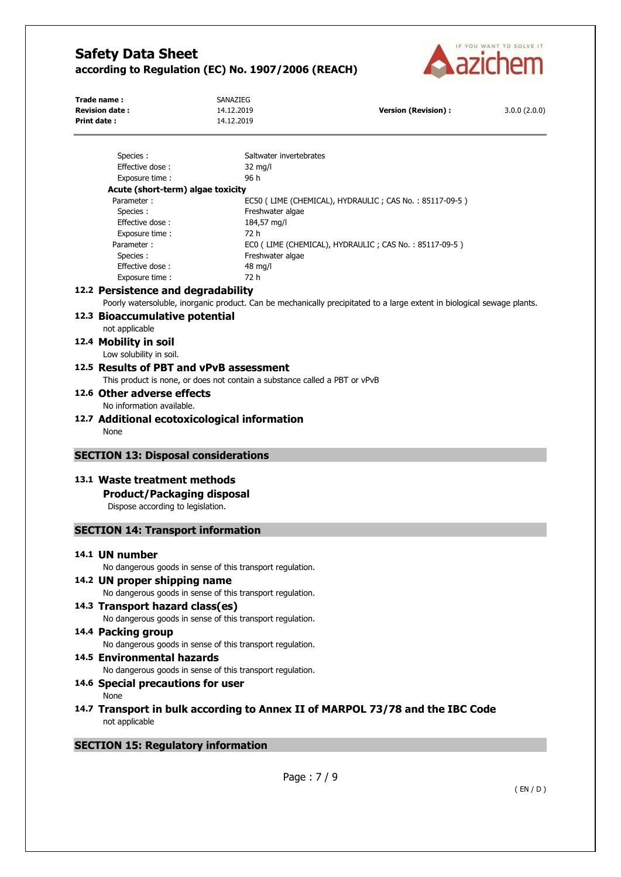

| Trade name:<br><b>Revision date:</b><br>Print date: | SANAZIEG<br>14.12.2019<br>14.12.2019                                                                                  | <b>Version (Revision):</b>                                                                                              | 3.0.0(2.0.0) |
|-----------------------------------------------------|-----------------------------------------------------------------------------------------------------------------------|-------------------------------------------------------------------------------------------------------------------------|--------------|
| Species:                                            | Saltwater invertebrates                                                                                               |                                                                                                                         |              |
| Effective dose:                                     | $32 \text{ mg/l}$                                                                                                     |                                                                                                                         |              |
| Exposure time:                                      | 96 h                                                                                                                  |                                                                                                                         |              |
|                                                     | Acute (short-term) algae toxicity                                                                                     |                                                                                                                         |              |
| Parameter:                                          |                                                                                                                       | EC50 (LIME (CHEMICAL), HYDRAULIC; CAS No.: 85117-09-5)                                                                  |              |
| Species:                                            | Freshwater algae                                                                                                      |                                                                                                                         |              |
| Effective dose:                                     | 184,57 mg/l                                                                                                           |                                                                                                                         |              |
| Exposure time :                                     | 72 h                                                                                                                  |                                                                                                                         |              |
| Parameter:                                          |                                                                                                                       | ECO (LIME (CHEMICAL), HYDRAULIC; CAS No.: 85117-09-5)                                                                   |              |
| Species :<br>Effective dose:                        | Freshwater algae<br>48 mg/l                                                                                           |                                                                                                                         |              |
| Exposure time:                                      | 72 h                                                                                                                  |                                                                                                                         |              |
|                                                     | 12.2 Persistence and degradability                                                                                    |                                                                                                                         |              |
|                                                     |                                                                                                                       |                                                                                                                         |              |
|                                                     |                                                                                                                       | Poorly watersoluble, inorganic product. Can be mechanically precipitated to a large extent in biological sewage plants. |              |
| 12.3 Bioaccumulative potential                      |                                                                                                                       |                                                                                                                         |              |
| not applicable                                      |                                                                                                                       |                                                                                                                         |              |
| 12.4 Mobility in soil                               |                                                                                                                       |                                                                                                                         |              |
| Low solubility in soil.                             |                                                                                                                       |                                                                                                                         |              |
|                                                     | 12.5 Results of PBT and vPvB assessment<br>This product is none, or does not contain a substance called a PBT or vPvB |                                                                                                                         |              |
| 12.6 Other adverse effects                          |                                                                                                                       |                                                                                                                         |              |
| No information available.                           |                                                                                                                       |                                                                                                                         |              |
|                                                     |                                                                                                                       |                                                                                                                         |              |
| None                                                | 12.7 Additional ecotoxicological information                                                                          |                                                                                                                         |              |
|                                                     | <b>SECTION 13: Disposal considerations</b>                                                                            |                                                                                                                         |              |
| 13.1 Waste treatment methods                        |                                                                                                                       |                                                                                                                         |              |
|                                                     | <b>Product/Packaging disposal</b>                                                                                     |                                                                                                                         |              |
|                                                     | Dispose according to legislation.                                                                                     |                                                                                                                         |              |
|                                                     | <b>SECTION 14: Transport information</b>                                                                              |                                                                                                                         |              |
| 14.1 UN number                                      |                                                                                                                       |                                                                                                                         |              |
|                                                     | No dangerous goods in sense of this transport regulation.                                                             |                                                                                                                         |              |
| 14.2 UN proper shipping name                        |                                                                                                                       |                                                                                                                         |              |
|                                                     | No dangerous goods in sense of this transport regulation.                                                             |                                                                                                                         |              |
|                                                     | 14.3 Transport hazard class(es)                                                                                       |                                                                                                                         |              |
|                                                     | No dangerous goods in sense of this transport regulation.                                                             |                                                                                                                         |              |
|                                                     |                                                                                                                       |                                                                                                                         |              |
| 14.4 Packing group                                  |                                                                                                                       |                                                                                                                         |              |
|                                                     | No dangerous goods in sense of this transport regulation.                                                             |                                                                                                                         |              |
| 14.5 Environmental hazards                          | No dangerous goods in sense of this transport regulation.                                                             |                                                                                                                         |              |
|                                                     | 14.6 Special precautions for user                                                                                     |                                                                                                                         |              |

None

**14.7 Transport in bulk according to Annex II of MARPOL 73/78 and the IBC Code**  not applicable

# **SECTION 15: Regulatory information**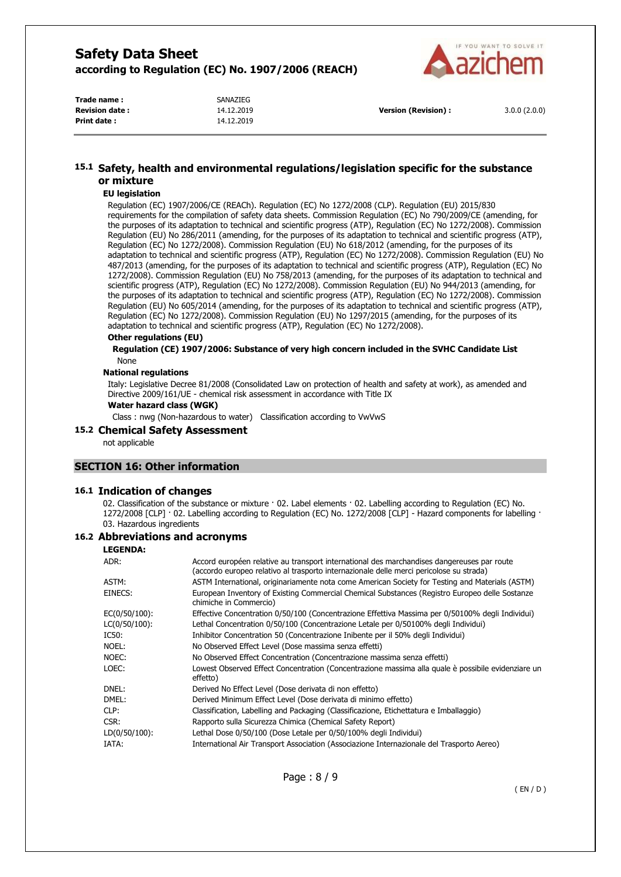

| Trade name:            | SANAZIEG   |
|------------------------|------------|
| <b>Revision date :</b> | 14.12.2019 |
| <b>Print date:</b>     | 14.12.2019 |

**Version (Revision) :** 3.0.0 (2.0.0)

# **15.1 Safety, health and environmental regulations/legislation specific for the substance or mixture**

#### **EU legislation**

Regulation (EC) 1907/2006/CE (REACh). Regulation (EC) No 1272/2008 (CLP). Regulation (EU) 2015/830 requirements for the compilation of safety data sheets. Commission Regulation (EC) No 790/2009/CE (amending, for the purposes of its adaptation to technical and scientific progress (ATP), Regulation (EC) No 1272/2008). Commission Regulation (EU) No 286/2011 (amending, for the purposes of its adaptation to technical and scientific progress (ATP), Regulation (EC) No 1272/2008). Commission Regulation (EU) No 618/2012 (amending, for the purposes of its adaptation to technical and scientific progress (ATP), Regulation (EC) No 1272/2008). Commission Regulation (EU) No 487/2013 (amending, for the purposes of its adaptation to technical and scientific progress (ATP), Regulation (EC) No 1272/2008). Commission Regulation (EU) No 758/2013 (amending, for the purposes of its adaptation to technical and scientific progress (ATP), Regulation (EC) No 1272/2008). Commission Regulation (EU) No 944/2013 (amending, for the purposes of its adaptation to technical and scientific progress (ATP), Regulation (EC) No 1272/2008). Commission Regulation (EU) No 605/2014 (amending, for the purposes of its adaptation to technical and scientific progress (ATP), Regulation (EC) No 1272/2008). Commission Regulation (EU) No 1297/2015 (amending, for the purposes of its adaptation to technical and scientific progress (ATP), Regulation (EC) No 1272/2008).

#### **Other regulations (EU)**

**Regulation (CE) 1907/2006: Substance of very high concern included in the SVHC Candidate List**  None

#### **National regulations**

Italy: Legislative Decree 81/2008 (Consolidated Law on protection of health and safety at work), as amended and Directive 2009/161/UE - chemical risk assessment in accordance with Title IX

#### **Water hazard class (WGK)**

Class : nwg (Non-hazardous to water) Classification according to VwVwS

#### **15.2 Chemical Safety Assessment**

not applicable

### **SECTION 16: Other information**

### **16.1 Indication of changes**

02. Classification of the substance or mixture · 02. Label elements · 02. Labelling according to Regulation (EC) No. 1272/2008 [CLP] · 02. Labelling according to Regulation (EC) No. 1272/2008 [CLP] - Hazard components for labelling · 03. Hazardous ingredients

### **16.2 Abbreviations and acronyms**

#### **LEGENDA:**

| ADR:             | Accord européen relative au transport international des marchandises dangereuses par route<br>(accordo europeo relativo al trasporto internazionale delle merci pericolose su strada) |
|------------------|---------------------------------------------------------------------------------------------------------------------------------------------------------------------------------------|
| ASTM:            | ASTM International, originariamente nota come American Society for Testing and Materials (ASTM)                                                                                       |
| EINECS:          | European Inventory of Existing Commercial Chemical Substances (Registro Europeo delle Sostanze<br>chimiche in Commercio)                                                              |
| EC(0/50/100):    | Effective Concentration 0/50/100 (Concentrazione Effettiva Massima per 0/50100% degli Individui)                                                                                      |
| $LC(0/50/100)$ : | Lethal Concentration 0/50/100 (Concentrazione Letale per 0/50100% degli Individui)                                                                                                    |
| IC50:            | Inhibitor Concentration 50 (Concentrazione Inibente per il 50% degli Individui)                                                                                                       |
| NOEL:            | No Observed Effect Level (Dose massima senza effetti)                                                                                                                                 |
| NOEC:            | No Observed Effect Concentration (Concentrazione massima senza effetti)                                                                                                               |
| LOEC:            | Lowest Observed Effect Concentration (Concentrazione massima alla quale è possibile evidenziare un<br>effetto)                                                                        |
| DNEL:            | Derived No Effect Level (Dose derivata di non effetto)                                                                                                                                |
| DMEL:            | Derived Minimum Effect Level (Dose derivata di minimo effetto)                                                                                                                        |
| CLP:             | Classification, Labelling and Packaging (Classificazione, Etichettatura e Imballaggio)                                                                                                |
| CSR:             | Rapporto sulla Sicurezza Chimica (Chemical Safety Report)                                                                                                                             |
| $LD(0/50/100)$ : | Lethal Dose 0/50/100 (Dose Letale per 0/50/100% degli Individui)                                                                                                                      |
| IATA:            | International Air Transport Association (Associazione Internazionale del Trasporto Aereo)                                                                                             |